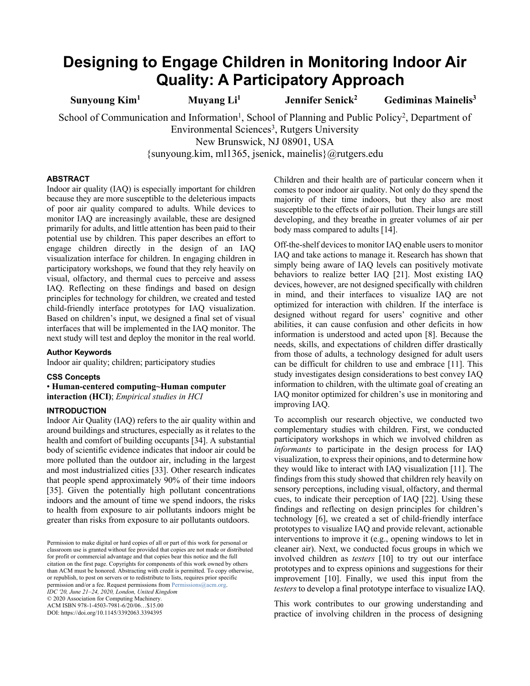# **Designing to Engage Children in Monitoring Indoor Air Quality: A Participatory Approach**

**Sunyoung Kim1 Muyang Li1 Jennifer Senick2 Gediminas Mainelis3**

School of Communication and Information<sup>1</sup>, School of Planning and Public Policy<sup>2</sup>, Department of Environmental Sciences<sup>3</sup>, Rutgers University

New Brunswick, NJ 08901, USA

{sunyoung.kim, ml1365, jsenick, mainelis}@rutgers.edu

# **ABSTRACT**

Indoor air quality (IAQ) is especially important for children because they are more susceptible to the deleterious impacts of poor air quality compared to adults. While devices to monitor IAQ are increasingly available, these are designed primarily for adults, and little attention has been paid to their potential use by children. This paper describes an effort to engage children directly in the design of an IAQ visualization interface for children. In engaging children in participatory workshops, we found that they rely heavily on visual, olfactory, and thermal cues to perceive and assess IAQ. Reflecting on these findings and based on design principles for technology for children, we created and tested child-friendly interface prototypes for IAQ visualization. Based on children's input, we designed a final set of visual interfaces that will be implemented in the IAQ monitor. The next study will test and deploy the monitor in the real world.

# **Author Keywords**

Indoor air quality; children; participatory studies

## **CSS Concepts**

• **Human-centered computing~Human computer interaction (HCI)**; *Empirical studies in HCI*

# **INTRODUCTION**

Indoor Air Quality (IAQ) refers to the air quality within and around buildings and structures, especially as it relates to the health and comfort of building occupants [34]. A substantial body of scientific evidence indicates that indoor air could be more polluted than the outdoor air, including in the largest and most industrialized cities [33]. Other research indicates that people spend approximately 90% of their time indoors [35]. Given the potentially high pollutant concentrations indoors and the amount of time we spend indoors, the risks to health from exposure to air pollutants indoors might be greater than risks from exposure to air pollutants outdoors.

Permission to make digital or hard copies of all or part of this work for personal or classroom use is granted without fee provided that copies are not made or distributed for profit or commercial advantage and that copies bear this notice and the full citation on the first page. Copyrights for components of this work owned by others than ACM must be honored. Abstracting with credit is permitted. To copy otherwise, or republish, to post on servers or to redistribute to lists, requires prior specific permission and/or a fee. Request permissions from Permissions@acm.org. *IDC '20, June 21–24, 2020, London, United Kingdom*  © 2020 Association for Computing Machinery.

ACM ISBN 978-1-4503-7981-6/20/06…\$15.00 DOI: https://doi.org/10.1145/3392063.3394395

Children and their health are of particular concern when it comes to poor indoor air quality. Not only do they spend the majority of their time indoors, but they also are most susceptible to the effects of air pollution. Their lungs are still developing, and they breathe in greater volumes of air per body mass compared to adults [14].

Off-the-shelf devices to monitor IAQ enable usersto monitor IAQ and take actions to manage it. Research has shown that simply being aware of IAQ levels can positively motivate behaviors to realize better IAQ [21]. Most existing IAQ devices, however, are not designed specifically with children in mind, and their interfaces to visualize IAQ are not optimized for interaction with children. If the interface is designed without regard for users' cognitive and other abilities, it can cause confusion and other deficits in how information is understood and acted upon [8]. Because the needs, skills, and expectations of children differ drastically from those of adults, a technology designed for adult users can be difficult for children to use and embrace [11]. This study investigates design considerations to best convey IAQ information to children, with the ultimate goal of creating an IAQ monitor optimized for children's use in monitoring and improving IAQ.

To accomplish our research objective, we conducted two complementary studies with children. First, we conducted participatory workshops in which we involved children as *informants* to participate in the design process for IAQ visualization, to express their opinions, and to determine how they would like to interact with IAQ visualization [11]. The findings from this study showed that children rely heavily on sensory perceptions, including visual, olfactory, and thermal cues, to indicate their perception of IAQ [22]. Using these findings and reflecting on design principles for children's technology [6], we created a set of child-friendly interface prototypes to visualize IAQ and provide relevant, actionable interventions to improve it (e.g., opening windows to let in cleaner air). Next, we conducted focus groups in which we involved children as *testers* [10] to try out our interface prototypes and to express opinions and suggestions for their improvement [10]. Finally, we used this input from the *testers* to develop a final prototype interface to visualize IAQ.

This work contributes to our growing understanding and practice of involving children in the process of designing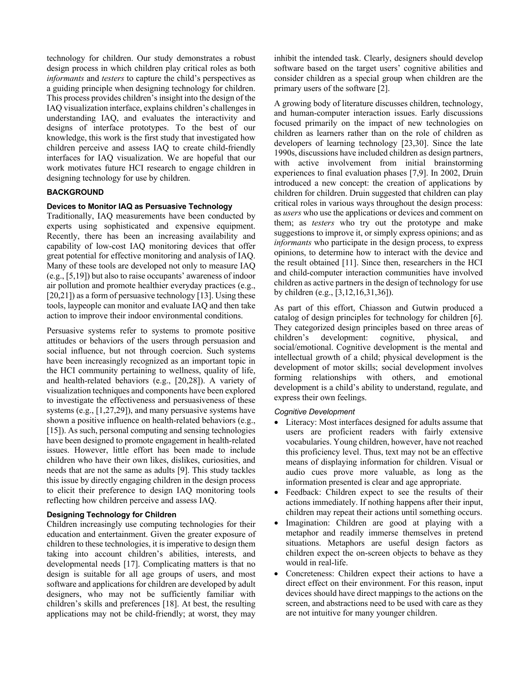technology for children. Our study demonstrates a robust design process in which children play critical roles as both *informants* and *testers* to capture the child's perspectives as a guiding principle when designing technology for children. This process provides children's insight into the design of the IAQ visualization interface, explains children's challenges in understanding IAQ, and evaluates the interactivity and designs of interface prototypes. To the best of our knowledge, this work is the first study that investigated how children perceive and assess IAQ to create child-friendly interfaces for IAQ visualization. We are hopeful that our work motivates future HCI research to engage children in designing technology for use by children.

# **BACKGROUND**

# **Devices to Monitor IAQ as Persuasive Technology**

Traditionally, IAQ measurements have been conducted by experts using sophisticated and expensive equipment. Recently, there has been an increasing availability and capability of low-cost IAQ monitoring devices that offer great potential for effective monitoring and analysis of IAQ. Many of these tools are developed not only to measure IAQ (e.g., [5,19]) but also to raise occupants' awareness of indoor air pollution and promote healthier everyday practices (e.g.,  $[20,21]$ ) as a form of persuasive technology  $[13]$ . Using these tools, laypeople can monitor and evaluate IAQ and then take action to improve their indoor environmental conditions.

Persuasive systems refer to systems to promote positive attitudes or behaviors of the users through persuasion and social influence, but not through coercion. Such systems have been increasingly recognized as an important topic in the HCI community pertaining to wellness, quality of life, and health-related behaviors (e.g., [20,28]). A variety of visualization techniques and components have been explored to investigate the effectiveness and persuasiveness of these systems (e.g., [1,27,29]), and many persuasive systems have shown a positive influence on health-related behaviors (e.g., [15]). As such, personal computing and sensing technologies have been designed to promote engagement in health-related issues. However, little effort has been made to include children who have their own likes, dislikes, curiosities, and needs that are not the same as adults [9]. This study tackles this issue by directly engaging children in the design process to elicit their preference to design IAQ monitoring tools reflecting how children perceive and assess IAQ.

# **Designing Technology for Children**

Children increasingly use computing technologies for their education and entertainment. Given the greater exposure of children to these technologies, it is imperative to design them taking into account children's abilities, interests, and developmental needs [17]. Complicating matters is that no design is suitable for all age groups of users, and most software and applications for children are developed by adult designers, who may not be sufficiently familiar with children's skills and preferences [18]. At best, the resulting applications may not be child-friendly; at worst, they may inhibit the intended task. Clearly, designers should develop software based on the target users' cognitive abilities and consider children as a special group when children are the primary users of the software [2].

A growing body of literature discusses children, technology, and human-computer interaction issues. Early discussions focused primarily on the impact of new technologies on children as learners rather than on the role of children as developers of learning technology [23,30]. Since the late 1990s, discussions have included children as design partners, with active involvement from initial brainstorming experiences to final evaluation phases [7,9]. In 2002, Druin introduced a new concept: the creation of applications by children for children. Druin suggested that children can play critical roles in various ways throughout the design process: as *users* who use the applications or devices and comment on them; as *testers* who try out the prototype and make suggestions to improve it, or simply express opinions; and as *informants* who participate in the design process, to express opinions, to determine how to interact with the device and the result obtained [11]. Since then, researchers in the HCI and child-computer interaction communities have involved children as active partners in the design of technology for use by children (e.g., [3,12,16,31,36]).

As part of this effort, Chiasson and Gutwin produced a catalog of design principles for technology for children [6]. They categorized design principles based on three areas of children's development: cognitive, physical, and social/emotional. Cognitive development is the mental and intellectual growth of a child; physical development is the development of motor skills; social development involves forming relationships with others, and emotional development is a child's ability to understand, regulate, and express their own feelings.

#### *Cognitive Development*

- Literacy: Most interfaces designed for adults assume that users are proficient readers with fairly extensive vocabularies. Young children, however, have not reached this proficiency level. Thus, text may not be an effective means of displaying information for children. Visual or audio cues prove more valuable, as long as the information presented is clear and age appropriate.
- Feedback: Children expect to see the results of their actions immediately. If nothing happens after their input, children may repeat their actions until something occurs.
- Imagination: Children are good at playing with a metaphor and readily immerse themselves in pretend situations. Metaphors are useful design factors as children expect the on-screen objects to behave as they would in real-life.
- Concreteness: Children expect their actions to have a direct effect on their environment. For this reason, input devices should have direct mappings to the actions on the screen, and abstractions need to be used with care as they are not intuitive for many younger children.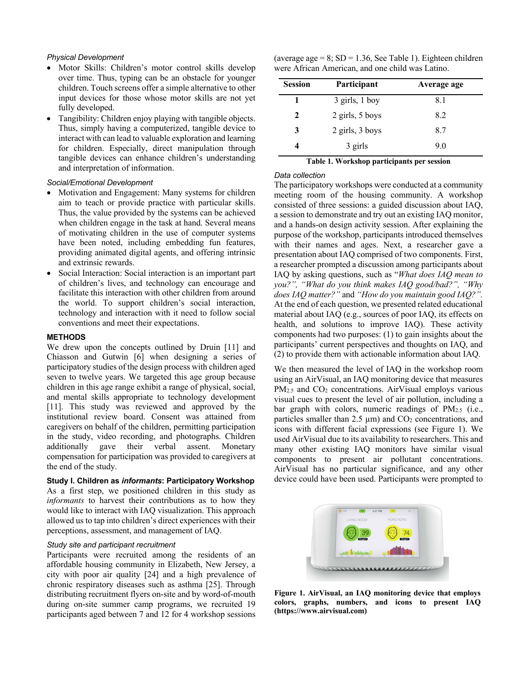#### *Physical Development*

- Motor Skills: Children's motor control skills develop over time. Thus, typing can be an obstacle for younger children. Touch screens offer a simple alternative to other input devices for those whose motor skills are not yet fully developed.
- Tangibility: Children enjoy playing with tangible objects. Thus, simply having a computerized, tangible device to interact with can lead to valuable exploration and learning for children. Especially, direct manipulation through tangible devices can enhance children's understanding and interpretation of information.

#### *Social/Emotional Development*

- Motivation and Engagement: Many systems for children aim to teach or provide practice with particular skills. Thus, the value provided by the systems can be achieved when children engage in the task at hand. Several means of motivating children in the use of computer systems have been noted, including embedding fun features, providing animated digital agents, and offering intrinsic and extrinsic rewards.
- Social Interaction: Social interaction is an important part of children's lives, and technology can encourage and facilitate this interaction with other children from around the world. To support children's social interaction, technology and interaction with it need to follow social conventions and meet their expectations.

## **METHODS**

We drew upon the concepts outlined by Druin [11] and Chiasson and Gutwin [6] when designing a series of participatory studies of the design process with children aged seven to twelve years. We targeted this age group because children in this age range exhibit a range of physical, social, and mental skills appropriate to technology development [11]. This study was reviewed and approved by the institutional review board. Consent was attained from caregivers on behalf of the children, permitting participation in the study, video recording, and photographs. Children additionally gave their verbal assent. Monetary compensation for participation was provided to caregivers at the end of the study.

**Study I. Children as** *informants***: Participatory Workshop**

As a first step, we positioned children in this study as *informants* to harvest their contributions as to how they would like to interact with IAQ visualization. This approach allowed us to tap into children's direct experiences with their perceptions, assessment, and management of IAQ.

# *Study site and participant recruitment*

Participants were recruited among the residents of an affordable housing community in Elizabeth, New Jersey, a city with poor air quality [24] and a high prevalence of chronic respiratory diseases such as asthma [25]. Through distributing recruitment flyers on-site and by word-of-mouth during on-site summer camp programs, we recruited 19 participants aged between 7 and 12 for 4 workshop sessions

(average  $age = 8$ ; SD = 1.36, See Table 1). Eighteen children were African American, and one child was Latino.

| <b>Session</b> | Participant      | Average age |
|----------------|------------------|-------------|
|                | $3$ girls, 1 boy | 8.1         |
| 2              | 2 girls, 5 boys  | 8.2         |
| 3              | 2 girls, 3 boys  | 8.7         |
| 4              | 3 girls          | 9.0         |

**Table 1. Workshop participants per session**

#### *Data collection*

The participatory workshops were conducted at a community meeting room of the housing community. A workshop consisted of three sessions: a guided discussion about IAQ, a session to demonstrate and try out an existing IAQ monitor, and a hands-on design activity session. After explaining the purpose of the workshop, participants introduced themselves with their names and ages. Next, a researcher gave a presentation about IAQ comprised of two components. First, a researcher prompted a discussion among participants about IAQ by asking questions, such as "*What does IAQ mean to you?", "What do you think makes IAQ good/bad?", "Why does IAQ matter?"* and *"How do you maintain good IAQ?".* At the end of each question, we presented related educational material about IAQ (e.g., sources of poor IAQ, its effects on health, and solutions to improve IAQ). These activity components had two purposes: (1) to gain insights about the participants' current perspectives and thoughts on IAQ, and (2) to provide them with actionable information about IAQ.

We then measured the level of IAQ in the workshop room using an AirVisual, an IAQ monitoring device that measures PM<sub>2.5</sub> and CO<sub>2</sub> concentrations. AirVisual employs various visual cues to present the level of air pollution, including a bar graph with colors, numeric readings of  $PM_{2.5}$  (i.e., particles smaller than 2.5  $\mu$ m) and CO<sub>2</sub> concentrations, and icons with different facial expressions (see Figure 1). We used AirVisual due to its availability to researchers. This and many other existing IAQ monitors have similar visual components to present air pollutant concentrations. AirVisual has no particular significance, and any other device could have been used. Participants were prompted to



**Figure 1. AirVisual, an IAQ monitoring device that employs colors, graphs, numbers, and icons to present IAQ (https://www.airvisual.com)**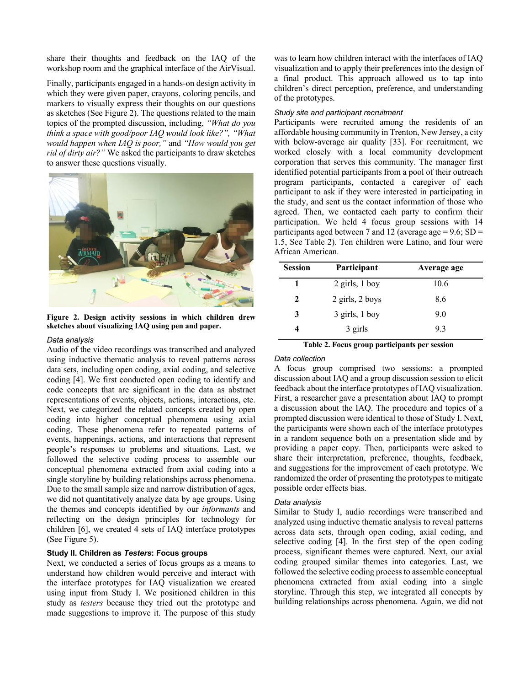share their thoughts and feedback on the IAQ of the workshop room and the graphical interface of the AirVisual.

Finally, participants engaged in a hands-on design activity in which they were given paper, crayons, coloring pencils, and markers to visually express their thoughts on our questions as sketches (See Figure 2). The questions related to the main topics of the prompted discussion, including, *"What do you think a space with good/poor IAQ would look like?", "What would happen when IAQ is poor,"* and *"How would you get rid of dirty air?"* We asked the participants to draw sketches to answer these questions visually.



**Figure 2. Design activity sessions in which children drew sketches about visualizing IAQ using pen and paper.**

#### *Data analysis*

Audio of the video recordings was transcribed and analyzed using inductive thematic analysis to reveal patterns across data sets, including open coding, axial coding, and selective coding [4]. We first conducted open coding to identify and code concepts that are significant in the data as abstract representations of events, objects, actions, interactions, etc. Next, we categorized the related concepts created by open coding into higher conceptual phenomena using axial coding. These phenomena refer to repeated patterns of events, happenings, actions, and interactions that represent people's responses to problems and situations. Last, we followed the selective coding process to assemble our conceptual phenomena extracted from axial coding into a single storyline by building relationships across phenomena. Due to the small sample size and narrow distribution of ages, we did not quantitatively analyze data by age groups. Using the themes and concepts identified by our *informants* and reflecting on the design principles for technology for children [6], we created 4 sets of IAQ interface prototypes (See Figure 5).

## **Study II. Children as** *Testers***: Focus groups**

Next, we conducted a series of focus groups as a means to understand how children would perceive and interact with the interface prototypes for IAQ visualization we created using input from Study I. We positioned children in this study as *testers* because they tried out the prototype and made suggestions to improve it. The purpose of this study

was to learn how children interact with the interfaces of IAQ visualization and to apply their preferences into the design of a final product. This approach allowed us to tap into children's direct perception, preference, and understanding of the prototypes.

#### *Study site and participant recruitment*

Participants were recruited among the residents of an affordable housing community in Trenton, New Jersey, a city with below-average air quality [33]. For recruitment, we worked closely with a local community development corporation that serves this community. The manager first identified potential participants from a pool of their outreach program participants, contacted a caregiver of each participant to ask if they were interested in participating in the study, and sent us the contact information of those who agreed. Then, we contacted each party to confirm their participation. We held 4 focus group sessions with 14 participants aged between 7 and 12 (average age =  $9.6$ ; SD = 1.5, See Table 2). Ten children were Latino, and four were African American.

| <b>Session</b> | Participant      | Average age |
|----------------|------------------|-------------|
|                | $2$ girls, 1 boy | 10.6        |
| $\mathbf{2}$   | 2 girls, 2 boys  | 8.6         |
| 3              | 3 girls, 1 boy   | 9.0         |
|                | 3 girls          | 9.3         |

**Table 2. Focus group participants per session**

#### *Data collection*

A focus group comprised two sessions: a prompted discussion about IAQ and a group discussion session to elicit feedback about the interface prototypes of IAQ visualization. First, a researcher gave a presentation about IAQ to prompt a discussion about the IAQ. The procedure and topics of a prompted discussion were identical to those of Study I. Next, the participants were shown each of the interface prototypes in a random sequence both on a presentation slide and by providing a paper copy. Then, participants were asked to share their interpretation, preference, thoughts, feedback, and suggestions for the improvement of each prototype. We randomized the order of presenting the prototypes to mitigate possible order effects bias.

#### *Data analysis*

Similar to Study I, audio recordings were transcribed and analyzed using inductive thematic analysis to reveal patterns across data sets, through open coding, axial coding, and selective coding [4]. In the first step of the open coding process, significant themes were captured. Next, our axial coding grouped similar themes into categories. Last, we followed the selective coding process to assemble conceptual phenomena extracted from axial coding into a single storyline. Through this step, we integrated all concepts by building relationships across phenomena. Again, we did not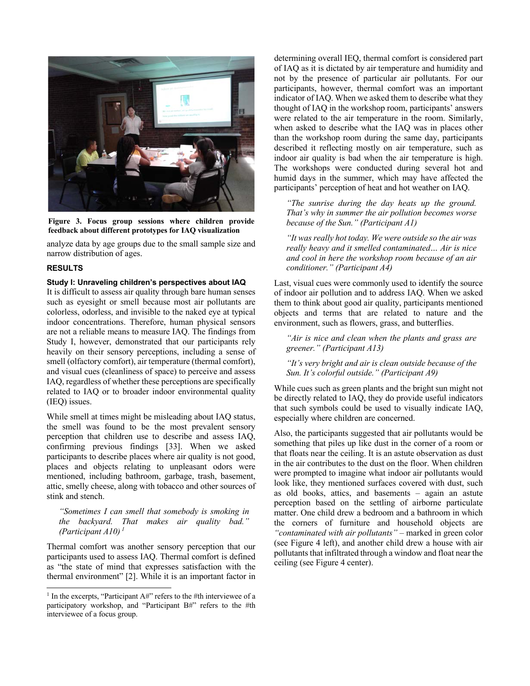

**Figure 3. Focus group sessions where children provide feedback about different prototypes for IAQ visualization**

analyze data by age groups due to the small sample size and narrow distribution of ages.

## **RESULTS**

## **Study I: Unraveling children's perspectives about IAQ**

It is difficult to assess air quality through bare human senses such as eyesight or smell because most air pollutants are colorless, odorless, and invisible to the naked eye at typical indoor concentrations. Therefore, human physical sensors are not a reliable means to measure IAQ. The findings from Study I, however, demonstrated that our participants rely heavily on their sensory perceptions, including a sense of smell (olfactory comfort), air temperature (thermal comfort), and visual cues (cleanliness of space) to perceive and assess IAQ, regardless of whether these perceptions are specifically related to IAQ or to broader indoor environmental quality (IEQ) issues.

While smell at times might be misleading about IAQ status, the smell was found to be the most prevalent sensory perception that children use to describe and assess IAQ, confirming previous findings [33]. When we asked participants to describe places where air quality is not good, places and objects relating to unpleasant odors were mentioned, including bathroom, garbage, trash, basement, attic, smelly cheese, along with tobacco and other sources of stink and stench.

*"Sometimes I can smell that somebody is smoking in the backyard. That makes air quality bad." (Participant A10) <sup>1</sup>*

Thermal comfort was another sensory perception that our participants used to assess IAQ. Thermal comfort is defined as "the state of mind that expresses satisfaction with the thermal environment" [2]. While it is an important factor in determining overall IEQ, thermal comfort is considered part of IAQ as it is dictated by air temperature and humidity and not by the presence of particular air pollutants. For our participants, however, thermal comfort was an important indicator of IAQ. When we asked them to describe what they thought of IAQ in the workshop room, participants' answers were related to the air temperature in the room. Similarly, when asked to describe what the IAQ was in places other than the workshop room during the same day, participants described it reflecting mostly on air temperature, such as indoor air quality is bad when the air temperature is high. The workshops were conducted during several hot and humid days in the summer, which may have affected the participants' perception of heat and hot weather on IAQ.

*"The sunrise during the day heats up the ground. That's why in summer the air pollution becomes worse because of the Sun." (Participant A1)*

*"It was really hot today. We were outside so the air was really heavy and it smelled contaminated… Air is nice and cool in here the workshop room because of an air conditioner." (Participant A4)*

Last, visual cues were commonly used to identify the source of indoor air pollution and to address IAQ. When we asked them to think about good air quality, participants mentioned objects and terms that are related to nature and the environment, such as flowers, grass, and butterflies.

*"Air is nice and clean when the plants and grass are greener." (Participant A13)*

*"It's very bright and air is clean outside because of the Sun. It's colorful outside." (Participant A9)*

While cues such as green plants and the bright sun might not be directly related to IAQ, they do provide useful indicators that such symbols could be used to visually indicate IAQ, especially where children are concerned.

Also, the participants suggested that air pollutants would be something that piles up like dust in the corner of a room or that floats near the ceiling. It is an astute observation as dust in the air contributes to the dust on the floor. When children were prompted to imagine what indoor air pollutants would look like, they mentioned surfaces covered with dust, such as old books, attics, and basements – again an astute perception based on the settling of airborne particulate matter. One child drew a bedroom and a bathroom in which the corners of furniture and household objects are *"contaminated with air pollutants"* – marked in green color (see Figure 4 left), and another child drew a house with air pollutants that infiltrated through a window and float near the ceiling (see Figure 4 center).

<sup>&</sup>lt;sup>1</sup> In the excerpts, "Participant  $A#$ " refers to the #th interviewee of a participatory workshop, and "Participant B#" refers to the #th interviewee of a focus group.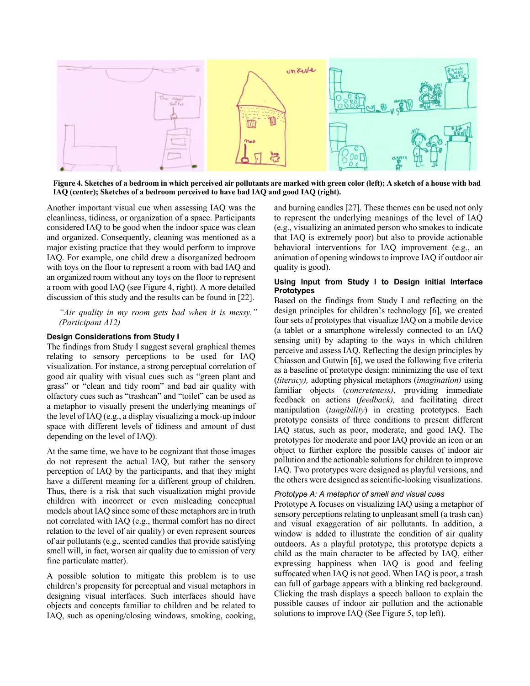

**Figure 4. Sketches of a bedroom in which perceived air pollutants are marked with green color (left); A sketch of a house with bad IAQ (center); Sketches of a bedroom perceived to have bad IAQ and good IAQ (right).**

Another important visual cue when assessing IAQ was the cleanliness, tidiness, or organization of a space. Participants considered IAQ to be good when the indoor space was clean and organized. Consequently, cleaning was mentioned as a major existing practice that they would perform to improve IAQ. For example, one child drew a disorganized bedroom with toys on the floor to represent a room with bad IAQ and an organized room without any toys on the floor to represent a room with good IAQ (see Figure 4, right). A more detailed discussion of this study and the results can be found in [22].

*"Air quality in my room gets bad when it is messy." (Participant A12)*

## **Design Considerations from Study I**

The findings from Study I suggest several graphical themes relating to sensory perceptions to be used for IAQ visualization. For instance, a strong perceptual correlation of good air quality with visual cues such as "green plant and grass" or "clean and tidy room" and bad air quality with olfactory cues such as "trashcan" and "toilet" can be used as a metaphor to visually present the underlying meanings of the level of IAQ (e.g., a display visualizing a mock-up indoor space with different levels of tidiness and amount of dust depending on the level of IAQ).

At the same time, we have to be cognizant that those images do not represent the actual IAQ, but rather the sensory perception of IAQ by the participants, and that they might have a different meaning for a different group of children. Thus, there is a risk that such visualization might provide children with incorrect or even misleading conceptual models about IAQ since some of these metaphors are in truth not correlated with IAQ (e.g., thermal comfort has no direct relation to the level of air quality) or even represent sources of air pollutants (e.g., scented candles that provide satisfying smell will, in fact, worsen air quality due to emission of very fine particulate matter).

A possible solution to mitigate this problem is to use children's propensity for perceptual and visual metaphors in designing visual interfaces. Such interfaces should have objects and concepts familiar to children and be related to IAQ, such as opening/closing windows, smoking, cooking,

and burning candles [27]. These themes can be used not only to represent the underlying meanings of the level of IAQ (e.g., visualizing an animated person who smokes to indicate that IAQ is extremely poor) but also to provide actionable behavioral interventions for IAQ improvement (e.g., an animation of opening windows to improve IAQ if outdoor air quality is good).

# **Using Input from Study I to Design initial Interface Prototypes**

Based on the findings from Study I and reflecting on the design principles for children's technology [6], we created four sets of prototypes that visualize IAQ on a mobile device (a tablet or a smartphone wirelessly connected to an IAQ sensing unit) by adapting to the ways in which children perceive and assess IAQ. Reflecting the design principles by Chiasson and Gutwin [6], we used the following five criteria as a baseline of prototype design: minimizing the use of text (*literacy),* adopting physical metaphors (*imagination)* using familiar objects (*concreteness)*, providing immediate feedback on actions (*feedback),* and facilitating direct manipulation (*tangibility*) in creating prototypes. Each prototype consists of three conditions to present different IAQ status, such as poor, moderate, and good IAQ. The prototypes for moderate and poor IAQ provide an icon or an object to further explore the possible causes of indoor air pollution and the actionable solutions for children to improve IAQ. Two prototypes were designed as playful versions, and the others were designed as scientific-looking visualizations.

## *Prototype A: A metaphor of smell and visual cues*

Prototype A focuses on visualizing IAQ using a metaphor of sensory perceptions relating to unpleasant smell (a trash can) and visual exaggeration of air pollutants. In addition, a window is added to illustrate the condition of air quality outdoors. As a playful prototype, this prototype depicts a child as the main character to be affected by IAQ, either expressing happiness when IAQ is good and feeling suffocated when IAQ is not good. When IAQ is poor, a trash can full of garbage appears with a blinking red background. Clicking the trash displays a speech balloon to explain the possible causes of indoor air pollution and the actionable solutions to improve IAQ (See Figure 5, top left).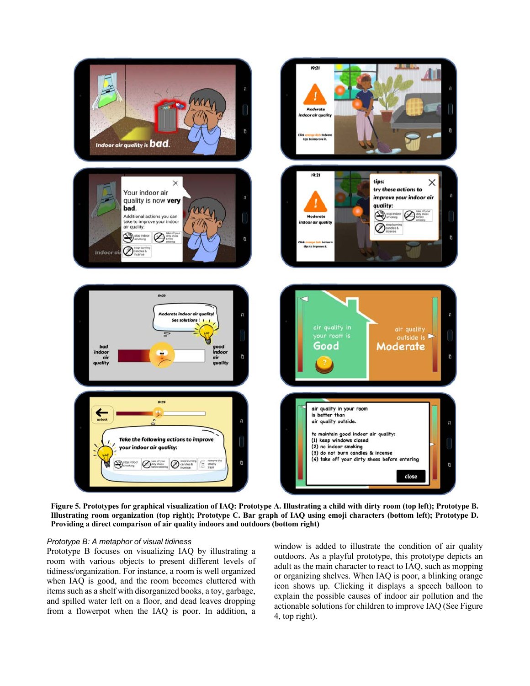

**Figure 5. Prototypes for graphical visualization of IAQ: Prototype A. Illustrating a child with dirty room (top left); Prototype B. Illustrating room organization (top right); Prototype C. Bar graph of IAQ using emoji characters (bottom left); Prototype D. Providing a direct comparison of air quality indoors and outdoors (bottom right)**

## *Prototype B: A metaphor of visual tidiness*

Prototype B focuses on visualizing IAQ by illustrating a room with various objects to present different levels of tidiness/organization. For instance, a room is well organized when IAQ is good, and the room becomes cluttered with items such as a shelf with disorganized books, a toy, garbage, and spilled water left on a floor, and dead leaves dropping from a flowerpot when the IAQ is poor. In addition, a

window is added to illustrate the condition of air quality outdoors. As a playful prototype, this prototype depicts an adult as the main character to react to IAQ, such as mopping or organizing shelves. When IAQ is poor, a blinking orange icon shows up. Clicking it displays a speech balloon to explain the possible causes of indoor air pollution and the actionable solutions for children to improve IAQ (See Figure 4, top right).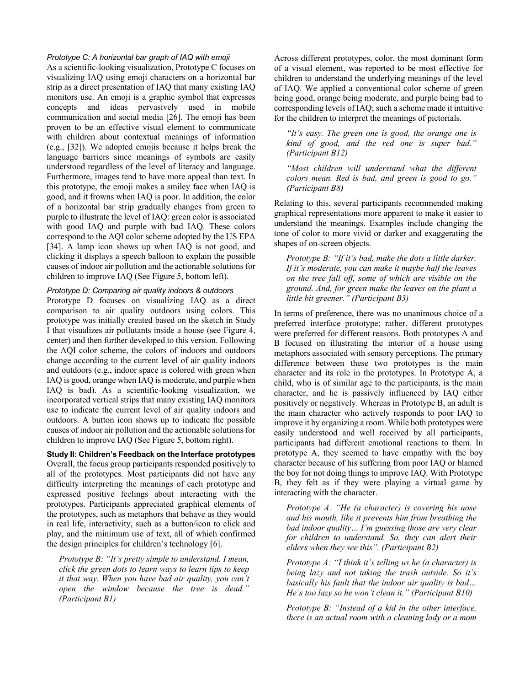# *Prototype C: A horizontal bar graph of IAQ with emoji*

As a scientific-looking visualization, Prototype C focuses on visualizing IAQ using emoji characters on a horizontal bar strip as a direct presentation of IAQ that many existing IAQ monitors use. An emoji is a graphic symbol that expresses concepts and ideas pervasively used in mobile communication and social media [26]. The emoji has been proven to be an effective visual element to communicate with children about contextual meanings of information (e.g., [32]). We adopted emojis because it helps break the language barriers since meanings of symbols are easily understood regardless of the level of literacy and language. Furthermore, images tend to have more appeal than text. In this prototype, the emoji makes a smiley face when IAQ is good, and it frowns when IAQ is poor. In addition, the color of a horizontal bar strip gradually changes from green to purple to illustrate the level of IAQ: green color is associated with good IAQ and purple with bad IAQ. These colors correspond to the AQI color scheme adopted by the US EPA [34]. A lamp icon shows up when IAQ is not good, and clicking it displays a speech balloon to explain the possible causes of indoor air pollution and the actionable solutions for children to improve IAQ (See Figure 5, bottom left).

# *Prototype D: Comparing air quality indoors & outdoors*

Prototype D focuses on visualizing IAQ as a direct comparison to air quality outdoors using colors. This prototype was initially created based on the sketch in Study I that visualizes air pollutants inside a house (see Figure 4, center) and then further developed to this version. Following the AQI color scheme, the colors of indoors and outdoors change according to the current level of air quality indoors and outdoors (e.g., indoor space is colored with green when IAQ is good, orange when IAQ is moderate, and purple when IAQ is bad). As a scientific-looking visualization, we incorporated vertical strips that many existing IAQ monitors use to indicate the current level of air quality indoors and outdoors. A button icon shows up to indicate the possible causes of indoor air pollution and the actionable solutions for children to improve IAQ (See Figure 5, bottom right).

**Study II: Children's Feedback on the Interface prototypes** Overall, the focus group participants responded positively to all of the prototypes. Most participants did not have any difficulty interpreting the meanings of each prototype and expressed positive feelings about interacting with the prototypes. Participants appreciated graphical elements of the prototypes, such as metaphors that behave as they would in real life, interactivity, such as a button/icon to click and play, and the minimum use of text, all of which confirmed the design principles for children's technology [6].

*Prototype B: "It's pretty simple to understand. I mean, click the green dots to learn ways to learn tips to keep it that way. When you have bad air quality, you can't open the window because the tree is dead." (Participant B1)*

Across different prototypes, color, the most dominant form of a visual element, was reported to be most effective for children to understand the underlying meanings of the level of IAQ. We applied a conventional color scheme of green being good, orange being moderate, and purple being bad to corresponding levels of IAQ; such a scheme made it intuitive for the children to interpret the meanings of pictorials.

*"It's easy. The green one is good, the orange one is kind of good, and the red one is super bad." (Participant B12)*

*"Most children will understand what the different colors mean. Red is bad, and green is good to go." (Participant B8)*

Relating to this, several participants recommended making graphical representations more apparent to make it easier to understand the meanings. Examples include changing the tone of color to more vivid or darker and exaggerating the shapes of on-screen objects.

*Prototype B: "If it's bad, make the dots a little darker. If it's moderate, you can make it maybe half the leaves on the tree fall off, some of which are visible on the ground. And, for green make the leaves on the plant a little bit greener." (Participant B3)*

In terms of preference, there was no unanimous choice of a preferred interface prototype; rather, different prototypes were preferred for different reasons. Both prototypes A and B focused on illustrating the interior of a house using metaphors associated with sensory perceptions. The primary difference between these two prototypes is the main character and its role in the prototypes. In Prototype A, a child, who is of similar age to the participants, is the main character, and he is passively influenced by IAQ either positively or negatively. Whereas in Prototype B, an adult is the main character who actively responds to poor IAQ to improve it by organizing a room. While both prototypes were easily understood and well received by all participants, participants had different emotional reactions to them. In prototype A, they seemed to have empathy with the boy character because of his suffering from poor IAQ or blamed the boy for not doing things to improve IAQ. With Prototype B, they felt as if they were playing a virtual game by interacting with the character.

*Prototype A: "He (a character) is covering his nose and his mouth, like it prevents him from breathing the bad indoor quality… I'm guessing those are very clear for children to understand. So, they can alert their elders when they see this". (Participant B2)*

*Prototype A: "I think it's telling us he (a character) is being lazy and not taking the trash outside. So it's basically his fault that the indoor air quality is bad… He's too lazy so he won't clean it." (Participant B10)*

*Prototype B: "Instead of a kid in the other interface, there is an actual room with a cleaning lady or a mom*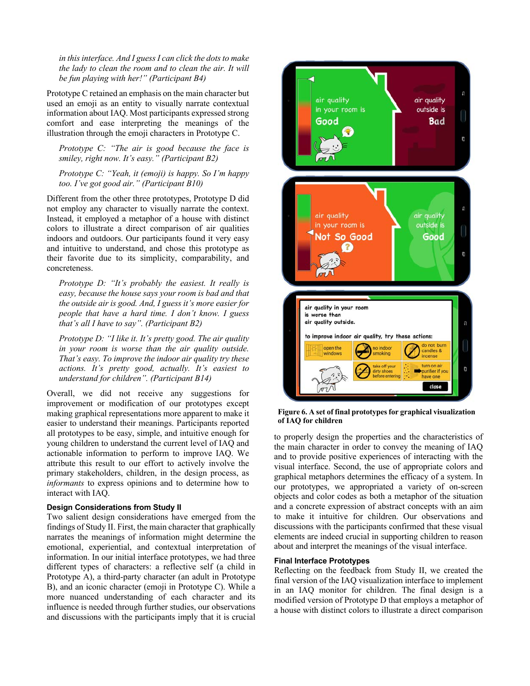*in thisinterface. And I guess I can click the dots to make the lady to clean the room and to clean the air. It will be fun playing with her!" (Participant B4)*

Prototype C retained an emphasis on the main character but used an emoji as an entity to visually narrate contextual information about IAQ. Most participants expressed strong comfort and ease interpreting the meanings of the illustration through the emoji characters in Prototype C.

*Prototype C: "The air is good because the face is smiley, right now. It's easy." (Participant B2)*

*Prototype C: "Yeah, it (emoji) is happy. So I'm happy too. I've got good air." (Participant B10)*

Different from the other three prototypes, Prototype D did not employ any character to visually narrate the context. Instead, it employed a metaphor of a house with distinct colors to illustrate a direct comparison of air qualities indoors and outdoors. Our participants found it very easy and intuitive to understand, and chose this prototype as their favorite due to its simplicity, comparability, and concreteness.

*Prototype D: "It's probably the easiest. It really is easy, because the house says your room is bad and that the outside air is good. And, I guess it's more easier for people that have a hard time. I don't know. I guess that's all I have to say". (Participant B2)*

*Prototype D: "I like it. It's pretty good. The air quality in your room is worse than the air quality outside. That's easy. To improve the indoor air quality try these actions. It's pretty good, actually. It's easiest to understand for children". (Participant B14)*

Overall, we did not receive any suggestions for improvement or modification of our prototypes except making graphical representations more apparent to make it easier to understand their meanings. Participants reported all prototypes to be easy, simple, and intuitive enough for young children to understand the current level of IAQ and actionable information to perform to improve IAQ. We attribute this result to our effort to actively involve the primary stakeholders, children, in the design process, as *informants* to express opinions and to determine how to interact with IAQ.

## **Design Considerations from Study II**

Two salient design considerations have emerged from the findings of Study II. First, the main character that graphically narrates the meanings of information might determine the emotional, experiential, and contextual interpretation of information. In our initial interface prototypes, we had three different types of characters: a reflective self (a child in Prototype A), a third-party character (an adult in Prototype B), and an iconic character (emoji in Prototype C). While a more nuanced understanding of each character and its influence is needed through further studies, our observations and discussions with the participants imply that it is crucial



**Figure 6. A set of final prototypes for graphical visualization of IAQ for children**

to properly design the properties and the characteristics of the main character in order to convey the meaning of IAQ and to provide positive experiences of interacting with the visual interface. Second, the use of appropriate colors and graphical metaphors determines the efficacy of a system. In our prototypes, we appropriated a variety of on-screen objects and color codes as both a metaphor of the situation and a concrete expression of abstract concepts with an aim to make it intuitive for children. Our observations and discussions with the participants confirmed that these visual elements are indeed crucial in supporting children to reason about and interpret the meanings of the visual interface.

#### **Final Interface Prototypes**

Reflecting on the feedback from Study II, we created the final version of the IAQ visualization interface to implement in an IAQ monitor for children. The final design is a modified version of Prototype D that employs a metaphor of a house with distinct colors to illustrate a direct comparison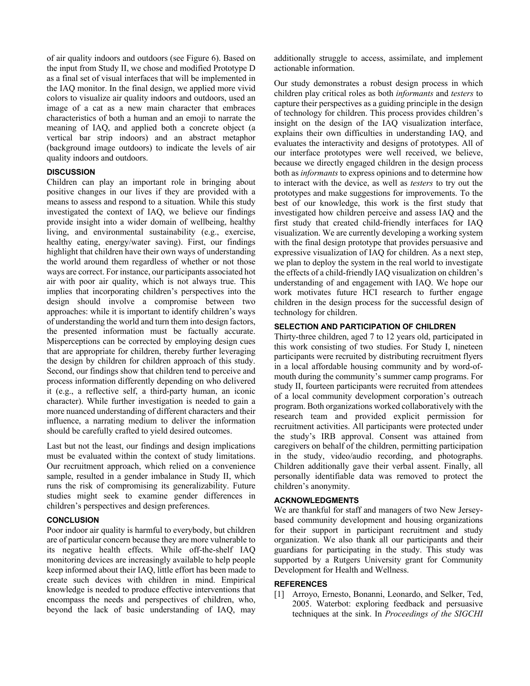of air quality indoors and outdoors (see Figure 6). Based on the input from Study II, we chose and modified Prototype D as a final set of visual interfaces that will be implemented in the IAQ monitor. In the final design, we applied more vivid colors to visualize air quality indoors and outdoors, used an image of a cat as a new main character that embraces characteristics of both a human and an emoji to narrate the meaning of IAQ, and applied both a concrete object (a vertical bar strip indoors) and an abstract metaphor (background image outdoors) to indicate the levels of air quality indoors and outdoors.

# **DISCUSSION**

Children can play an important role in bringing about positive changes in our lives if they are provided with a means to assess and respond to a situation. While this study investigated the context of IAQ, we believe our findings provide insight into a wider domain of wellbeing, healthy living, and environmental sustainability (e.g., exercise, healthy eating, energy/water saving). First, our findings highlight that children have their own ways of understanding the world around them regardless of whether or not those ways are correct. For instance, our participants associated hot air with poor air quality, which is not always true. This implies that incorporating children's perspectives into the design should involve a compromise between two approaches: while it is important to identify children's ways of understanding the world and turn them into design factors, the presented information must be factually accurate. Misperceptions can be corrected by employing design cues that are appropriate for children, thereby further leveraging the design by children for children approach of this study. Second, our findings show that children tend to perceive and process information differently depending on who delivered it (e.g., a reflective self, a third-party human, an iconic character). While further investigation is needed to gain a more nuanced understanding of different characters and their influence, a narrating medium to deliver the information should be carefully crafted to yield desired outcomes.

Last but not the least, our findings and design implications must be evaluated within the context of study limitations. Our recruitment approach, which relied on a convenience sample, resulted in a gender imbalance in Study II, which runs the risk of compromising its generalizability. Future studies might seek to examine gender differences in children's perspectives and design preferences.

# **CONCLUSION**

Poor indoor air quality is harmful to everybody, but children are of particular concern because they are more vulnerable to its negative health effects. While off-the-shelf IAQ monitoring devices are increasingly available to help people keep informed about their IAQ, little effort has been made to create such devices with children in mind. Empirical knowledge is needed to produce effective interventions that encompass the needs and perspectives of children, who, beyond the lack of basic understanding of IAQ, may

additionally struggle to access, assimilate, and implement actionable information.

Our study demonstrates a robust design process in which children play critical roles as both *informants* and *testers* to capture their perspectives as a guiding principle in the design of technology for children. This process provides children's insight on the design of the IAQ visualization interface, explains their own difficulties in understanding IAQ, and evaluates the interactivity and designs of prototypes. All of our interface prototypes were well received, we believe, because we directly engaged children in the design process both as *informants* to express opinions and to determine how to interact with the device, as well as *testers* to try out the prototypes and make suggestions for improvements. To the best of our knowledge, this work is the first study that investigated how children perceive and assess IAQ and the first study that created child-friendly interfaces for IAQ visualization. We are currently developing a working system with the final design prototype that provides persuasive and expressive visualization of IAQ for children. As a next step, we plan to deploy the system in the real world to investigate the effects of a child-friendly IAQ visualization on children's understanding of and engagement with IAQ. We hope our work motivates future HCI research to further engage children in the design process for the successful design of technology for children.

# **SELECTION AND PARTICIPATION OF CHILDREN**

Thirty-three children, aged 7 to 12 years old, participated in this work consisting of two studies. For Study I, nineteen participants were recruited by distributing recruitment flyers in a local affordable housing community and by word-ofmouth during the community's summer camp programs. For study II, fourteen participants were recruited from attendees of a local community development corporation's outreach program. Both organizations worked collaboratively with the research team and provided explicit permission for recruitment activities. All participants were protected under the study's IRB approval. Consent was attained from caregivers on behalf of the children, permitting participation in the study, video/audio recording, and photographs. Children additionally gave their verbal assent. Finally, all personally identifiable data was removed to protect the children's anonymity.

## **ACKNOWLEDGMENTS**

We are thankful for staff and managers of two New Jerseybased community development and housing organizations for their support in participant recruitment and study organization. We also thank all our participants and their guardians for participating in the study. This study was supported by a Rutgers University grant for Community Development for Health and Wellness.

## **REFERENCES**

[1] Arroyo, Ernesto, Bonanni, Leonardo, and Selker, Ted, 2005. Waterbot: exploring feedback and persuasive techniques at the sink. In *Proceedings of the SIGCHI*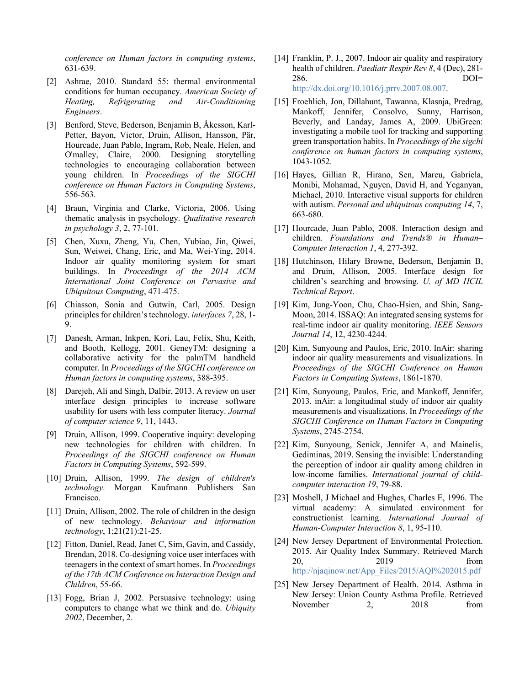*conference on Human factors in computing systems*, 631-639.

- [2] Ashrae, 2010. Standard 55: thermal environmental conditions for human occupancy. *American Society of Heating, Refrigerating and Air-Conditioning Engineers*.
- [3] Benford, Steve, Bederson, Benjamin B, Åkesson, Karl-Petter, Bayon, Victor, Druin, Allison, Hansson, Pär, Hourcade, Juan Pablo, Ingram, Rob, Neale, Helen, and O'malley, Claire, 2000. Designing storytelling technologies to encouraging collaboration between young children. In *Proceedings of the SIGCHI conference on Human Factors in Computing Systems*, 556-563.
- [4] Braun, Virginia and Clarke, Victoria, 2006. Using thematic analysis in psychology. *Qualitative research in psychology 3*, 2, 77-101.
- [5] Chen, Xuxu, Zheng, Yu, Chen, Yubiao, Jin, Qiwei, Sun, Weiwei, Chang, Eric, and Ma, Wei-Ying, 2014. Indoor air quality monitoring system for smart buildings. In *Proceedings of the 2014 ACM International Joint Conference on Pervasive and Ubiquitous Computing*, 471-475.
- [6] Chiasson, Sonia and Gutwin, Carl, 2005. Design principles for children's technology. *interfaces 7*, 28, 1- 9.
- [7] Danesh, Arman, Inkpen, Kori, Lau, Felix, Shu, Keith, and Booth, Kellogg, 2001. GeneyTM: designing a collaborative activity for the palmTM handheld computer. In *Proceedings of the SIGCHI conference on Human factors in computing systems*, 388-395.
- [8] Darejeh, Ali and Singh, Dalbir, 2013. A review on user interface design principles to increase software usability for users with less computer literacy. *Journal of computer science 9*, 11, 1443.
- [9] Druin, Allison, 1999. Cooperative inquiry: developing new technologies for children with children. In *Proceedings of the SIGCHI conference on Human Factors in Computing Systems*, 592-599.
- [10] Druin, Allison, 1999. *The design of children's technology*. Morgan Kaufmann Publishers San Francisco.
- [11] Druin, Allison, 2002. The role of children in the design of new technology. *Behaviour and information technology*, 1;21(21):21-25.
- [12] Fitton, Daniel, Read, Janet C, Sim, Gavin, and Cassidy, Brendan, 2018. Co-designing voice user interfaces with teenagers in the context of smart homes. In *Proceedings of the 17th ACM Conference on Interaction Design and Children*, 55-66.
- [13] Fogg, Brian J, 2002. Persuasive technology: using computers to change what we think and do. *Ubiquity 2002*, December, 2.
- [14] Franklin, P. J., 2007. Indoor air quality and respiratory health of children. *Paediatr Respir Rev 8*, 4 (Dec), 281- 286. DOI= http://dx.doi.org/10.1016/j.prrv.2007.08.007.
- [15] Froehlich, Jon, Dillahunt, Tawanna, Klasnja, Predrag, Mankoff, Jennifer, Consolvo, Sunny, Harrison, Beverly, and Landay, James A, 2009. UbiGreen: investigating a mobile tool for tracking and supporting green transportation habits. In *Proceedings of the sigchi conference on human factors in computing systems*, 1043-1052.
- [16] Hayes, Gillian R, Hirano, Sen, Marcu, Gabriela, Monibi, Mohamad, Nguyen, David H, and Yeganyan, Michael, 2010. Interactive visual supports for children with autism. *Personal and ubiquitous computing 14*, 7, 663-680.
- [17] Hourcade, Juan Pablo, 2008. Interaction design and children. *Foundations and Trends® in Human– Computer Interaction 1*, 4, 277-392.
- [18] Hutchinson, Hilary Browne, Bederson, Benjamin B, and Druin, Allison, 2005. Interface design for children's searching and browsing. *U. of MD HCIL Technical Report*.
- [19] Kim, Jung-Yoon, Chu, Chao-Hsien, and Shin, Sang-Moon, 2014. ISSAQ: An integrated sensing systems for real-time indoor air quality monitoring. *IEEE Sensors Journal 14*, 12, 4230-4244.
- [20] Kim, Sunyoung and Paulos, Eric, 2010. InAir: sharing indoor air quality measurements and visualizations. In *Proceedings of the SIGCHI Conference on Human Factors in Computing Systems*, 1861-1870.
- [21] Kim, Sunyoung, Paulos, Eric, and Mankoff, Jennifer, 2013. inAir: a longitudinal study of indoor air quality measurements and visualizations. In *Proceedings of the SIGCHI Conference on Human Factors in Computing Systems*, 2745-2754.
- [22] Kim, Sunyoung, Senick, Jennifer A, and Mainelis, Gediminas, 2019. Sensing the invisible: Understanding the perception of indoor air quality among children in low-income families. *International journal of childcomputer interaction 19*, 79-88.
- [23] Moshell, J Michael and Hughes, Charles E, 1996. The virtual academy: A simulated environment for constructionist learning. *International Journal of Human‐Computer Interaction 8*, 1, 95-110.
- [24] New Jersey Department of Environmental Protection. 2015. Air Quality Index Summary. Retrieved March 20, 2019 from http://njaqinow.net/App\_Files/2015/AQI%202015.pdf
- [25] New Jersey Department of Health. 2014. Asthma in New Jersey: Union County Asthma Profile. Retrieved November 2, 2018 from